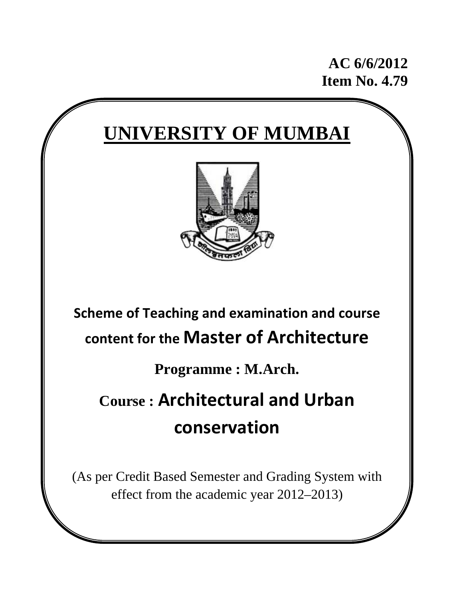**AC 6/6/2012 Item No. 4.79** 

# **UNIVERSITY OF MUMBAI**



## **Scheme of Teaching and examination and course content for the Master of Architecture**

**Programme : M.Arch.** 

## **Course : Architectural and Urban conservation**

(As per Credit Based Semester and Grading System with effect from the academic year 2012–2013)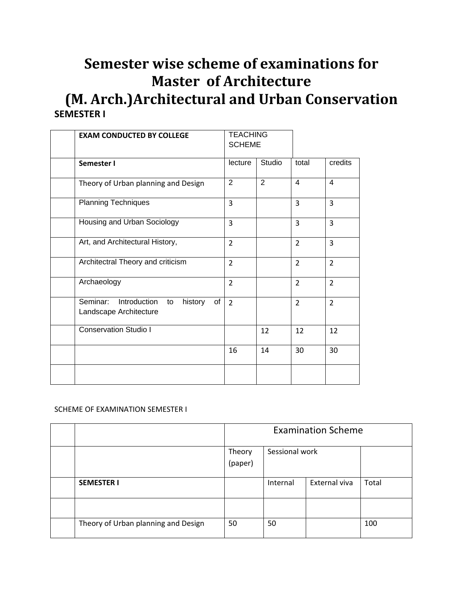### **Semester wise scheme of examinations for Master of Architecture (M. Arch.)Architectural and Urban Conservation SEMESTER I**

|             | <b>EXAM CONDUCTED BY COLLEGE</b>                              | <b>TEACHING</b><br><b>SCHEME</b> |        |                |                |
|-------------|---------------------------------------------------------------|----------------------------------|--------|----------------|----------------|
| Semester I  |                                                               | lecture                          | Studio | total          | credits        |
|             | Theory of Urban planning and Design                           | $\overline{2}$                   | 2      | $\overline{4}$ | $\overline{4}$ |
|             | <b>Planning Techniques</b>                                    | 3                                |        | 3              | $\overline{3}$ |
|             | Housing and Urban Sociology                                   | 3                                |        | 3              | 3              |
|             | Art, and Architectural History,                               | $\overline{2}$                   |        | $\overline{2}$ | 3              |
|             | Architectral Theory and criticism                             | $\overline{2}$                   |        | $\overline{2}$ | $\overline{2}$ |
| Archaeology |                                                               | $\overline{2}$                   |        | $\overline{2}$ | $\overline{2}$ |
| Seminar:    | Introduction<br>history<br>of<br>to<br>Landscape Architecture | $\overline{2}$                   |        | $\overline{2}$ | $\overline{2}$ |
|             | <b>Conservation Studio I</b>                                  |                                  | 12     | 12             | 12             |
|             |                                                               | 16                               | 14     | 30             | 30             |
|             |                                                               |                                  |        |                |                |

#### SCHEME OF EXAMINATION SEMESTER I

|                                     | <b>Examination Scheme</b> |                |               |       |  |  |
|-------------------------------------|---------------------------|----------------|---------------|-------|--|--|
|                                     | Theory<br>(paper)         | Sessional work |               |       |  |  |
| <b>SEMESTER I</b>                   |                           | Internal       | External viva | Total |  |  |
|                                     |                           |                |               |       |  |  |
| Theory of Urban planning and Design | 50                        | 50             |               | 100   |  |  |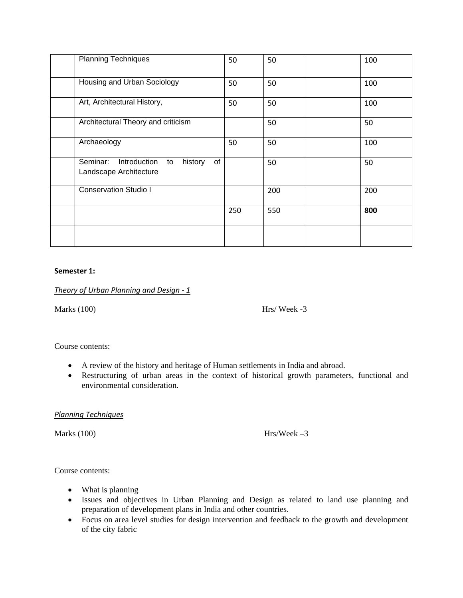| <b>Planning Techniques</b>                                                | 50  | 50  | 100 |
|---------------------------------------------------------------------------|-----|-----|-----|
| Housing and Urban Sociology                                               | 50  | 50  | 100 |
| Art, Architectural History,                                               | 50  | 50  | 100 |
| Architectural Theory and criticism                                        |     | 50  | 50  |
| Archaeology                                                               | 50  | 50  | 100 |
| Seminar:<br>Introduction<br>of<br>history<br>to<br>Landscape Architecture |     | 50  | 50  |
| <b>Conservation Studio I</b>                                              |     | 200 | 200 |
|                                                                           | 250 | 550 | 800 |
|                                                                           |     |     |     |

#### **Semester 1:**

*Theory of Urban Planning and Design ‐ 1*

Marks (100) Hrs/ Week -3

Course contents:

- A review of the history and heritage of Human settlements in India and abroad.
- Restructuring of urban areas in the context of historical growth parameters, functional and environmental consideration.

*Planning Techniques*

Marks (100) Hrs/Week –3

Course contents:

- What is planning
- Issues and objectives in Urban Planning and Design as related to land use planning and preparation of development plans in India and other countries.
- Focus on area level studies for design intervention and feedback to the growth and development of the city fabric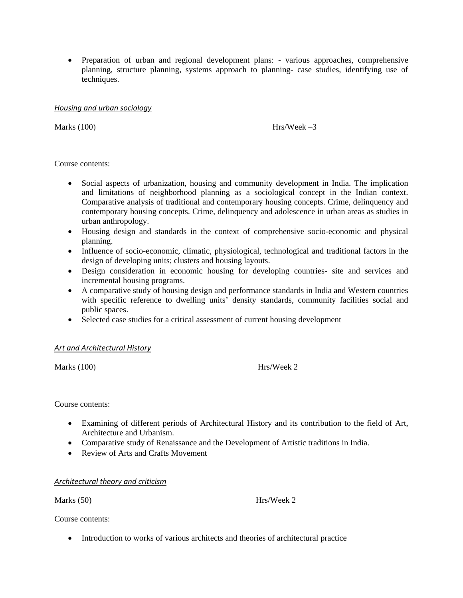• Preparation of urban and regional development plans: - various approaches, comprehensive planning, structure planning, systems approach to planning- case studies, identifying use of techniques.

#### *Housing and urban sociology*

Marks  $(100)$  Hrs/Week –3

Course contents:

- Social aspects of urbanization, housing and community development in India. The implication and limitations of neighborhood planning as a sociological concept in the Indian context. Comparative analysis of traditional and contemporary housing concepts. Crime, delinquency and contemporary housing concepts. Crime, delinquency and adolescence in urban areas as studies in urban anthropology.
- Housing design and standards in the context of comprehensive socio-economic and physical planning.
- Influence of socio-economic, climatic, physiological, technological and traditional factors in the design of developing units; clusters and housing layouts.
- Design consideration in economic housing for developing countries- site and services and incremental housing programs.
- A comparative study of housing design and performance standards in India and Western countries with specific reference to dwelling units' density standards, community facilities social and public spaces.
- Selected case studies for a critical assessment of current housing development

#### *Art and Architectural History*

Marks (100) Hrs/Week 2

Course contents:

- Examining of different periods of Architectural History and its contribution to the field of Art, Architecture and Urbanism.
- Comparative study of Renaissance and the Development of Artistic traditions in India.
- Review of Arts and Crafts Movement

*Architectural theory and criticism*

Marks (50) Hrs/Week 2

Course contents:

• Introduction to works of various architects and theories of architectural practice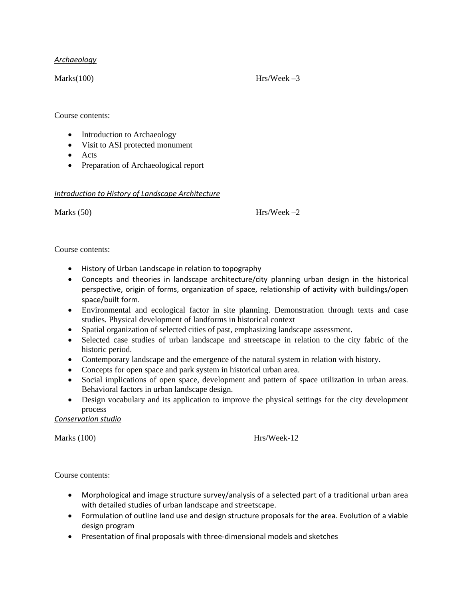#### *Archaeology*

 $Marks(100)$  Hrs/Week  $-3$ 

Course contents:

- Introduction to Archaeology
- Visit to ASI protected monument
- Acts
- Preparation of Archaeological report

#### *Introduction to History of Landscape Architecture*

Marks  $(50)$  Hrs/Week –2

#### Course contents:

- History of Urban Landscape in relation to topography
- Concepts and theories in landscape architecture/city planning urban design in the historical perspective, origin of forms, organization of space, relationship of activity with buildings/open space/built form.
- Environmental and ecological factor in site planning. Demonstration through texts and case studies. Physical development of landforms in historical context
- Spatial organization of selected cities of past, emphasizing landscape assessment.
- Selected case studies of urban landscape and streetscape in relation to the city fabric of the historic period.
- Contemporary landscape and the emergence of the natural system in relation with history.
- Concepts for open space and park system in historical urban area.
- Social implications of open space, development and pattern of space utilization in urban areas. Behavioral factors in urban landscape design.
- Design vocabulary and its application to improve the physical settings for the city development process

#### *Conservation studio*

Marks (100) Hrs/Week-12

Course contents:

- Morphological and image structure survey/analysis of a selected part of a traditional urban area with detailed studies of urban landscape and streetscape.
- Formulation of outline land use and design structure proposals for the area. Evolution of a viable design program
- Presentation of final proposals with three-dimensional models and sketches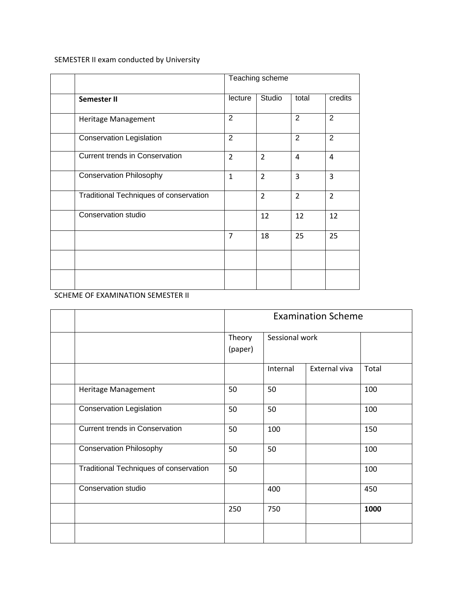SEMESTER II exam conducted by University

|                                        | Teaching scheme |                |                |                |
|----------------------------------------|-----------------|----------------|----------------|----------------|
| Semester II                            | lecture         | Studio         | total          | credits        |
| Heritage Management                    | $\overline{2}$  |                | $\overline{2}$ | $\overline{2}$ |
| <b>Conservation Legislation</b>        | $\overline{2}$  |                | $\overline{2}$ | $\overline{2}$ |
| <b>Current trends in Conservation</b>  | $\overline{2}$  | $\overline{2}$ | 4              | 4              |
| <b>Conservation Philosophy</b>         | $\mathbf{1}$    | $\overline{2}$ | 3              | 3              |
| Traditional Techniques of conservation |                 | $\overline{2}$ | $\overline{2}$ | $\overline{2}$ |
| <b>Conservation studio</b>             |                 | 12             | 12             | 12             |
|                                        | $\overline{7}$  | 18             | 25             | 25             |
|                                        |                 |                |                |                |
|                                        |                 |                |                |                |

SCHEME OF EXAMINATION SEMESTER II

|                                        | <b>Examination Scheme</b> |                |               |       |  |
|----------------------------------------|---------------------------|----------------|---------------|-------|--|
|                                        | Theory<br>(paper)         | Sessional work |               |       |  |
|                                        |                           | Internal       | External viva | Total |  |
| Heritage Management                    | 50                        | 50             |               | 100   |  |
| <b>Conservation Legislation</b>        | 50                        | 50             |               | 100   |  |
| <b>Current trends in Conservation</b>  | 50                        | 100            |               | 150   |  |
| <b>Conservation Philosophy</b>         | 50                        | 50             |               | 100   |  |
| Traditional Techniques of conservation | 50                        |                |               | 100   |  |
| Conservation studio                    |                           | 400            |               | 450   |  |
|                                        | 250                       | 750            |               | 1000  |  |
|                                        |                           |                |               |       |  |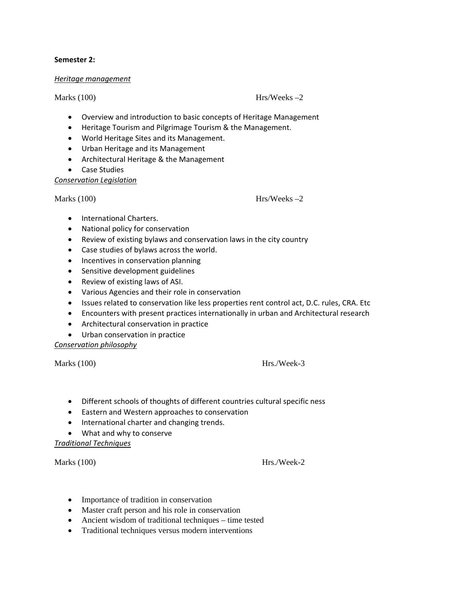#### **Semester 2:**

#### *Heritage management*

#### Marks (100) Hrs/Weeks –2

- Overview and introduction to basic concepts of Heritage Management
- Heritage Tourism and Pilgrimage Tourism & the Management.
- World Heritage Sites and its Management.
- Urban Heritage and its Management
- Architectural Heritage & the Management
- Case Studies

*Conservation Legislation*

Marks (100) Hrs/Weeks –2

- International Charters.
- National policy for conservation
- Review of existing bylaws and conservation laws in the city country
- Case studies of bylaws across the world.
- Incentives in conservation planning
- Sensitive development guidelines
- Review of existing laws of ASI.
- Various Agencies and their role in conservation
- Issues related to conservation like less properties rent control act, D.C. rules, CRA. Etc
- Encounters with present practices internationally in urban and Architectural research
- Architectural conservation in practice
- Urban conservation in practice

*Conservation philosophy*

Marks (100) Hrs./Week-3

- Different schools of thoughts of different countries cultural specific ness
- Eastern and Western approaches to conservation
- International charter and changing trends.
- What and why to conserve

*Traditional Techniques*

Marks (100) Hrs./Week-2

- Importance of tradition in conservation
- Master craft person and his role in conservation
- Ancient wisdom of traditional techniques time tested
- Traditional techniques versus modern interventions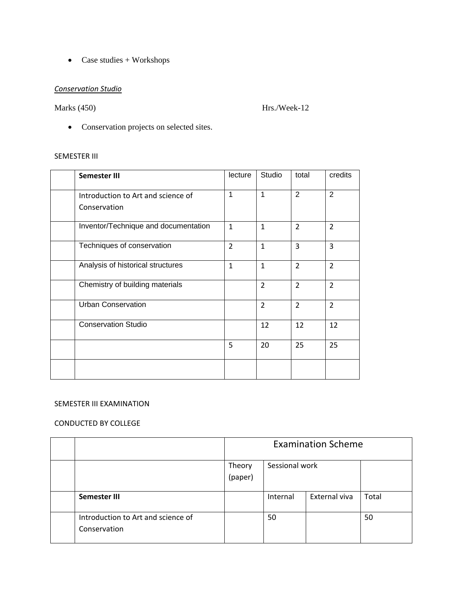• Case studies + Workshops

#### *Conservation Studio*

Marks (450) Hrs./Week-12

• Conservation projects on selected sites.

#### SEMESTER III

| Semester III                         | lecture        | Studio         | total          | credits        |
|--------------------------------------|----------------|----------------|----------------|----------------|
| Introduction to Art and science of   | 1              | 1              | $\overline{2}$ | $\overline{2}$ |
| Conservation                         |                |                |                |                |
| Inventor/Technique and documentation | $\mathbf{1}$   | $\mathbf{1}$   | $\overline{2}$ | $\overline{2}$ |
| Techniques of conservation           | $\overline{2}$ | $\mathbf{1}$   | 3              | 3              |
| Analysis of historical structures    | $\mathbf{1}$   | $\mathbf{1}$   | $\overline{2}$ | $\overline{2}$ |
| Chemistry of building materials      |                | $\overline{2}$ | $\overline{2}$ | $\overline{2}$ |
| <b>Urban Conservation</b>            |                | $\overline{2}$ | $\overline{2}$ | $\overline{2}$ |
| <b>Conservation Studio</b>           |                | 12             | 12             | 12             |
|                                      | 5              | 20             | 25             | 25             |
|                                      |                |                |                |                |

#### SEMESTER III EXAMINATION

#### CONDUCTED BY COLLEGE

|                                                    | <b>Examination Scheme</b> |                |               |       |  |  |
|----------------------------------------------------|---------------------------|----------------|---------------|-------|--|--|
|                                                    | Theory<br>(paper)         | Sessional work |               |       |  |  |
| Semester III                                       |                           | Internal       | External viva | Total |  |  |
| Introduction to Art and science of<br>Conservation |                           | 50             |               | 50    |  |  |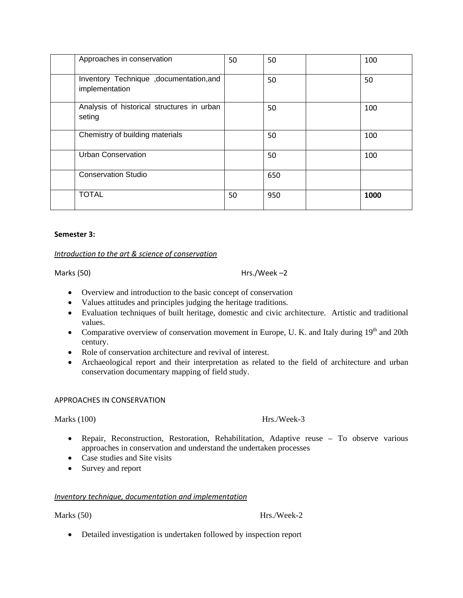| Approaches in conservation                               | 50 | 50  | 100  |
|----------------------------------------------------------|----|-----|------|
| Inventory Technique ,documentation,and<br>implementation |    | 50  | 50   |
| Analysis of historical structures in urban<br>seting     |    | 50  | 100  |
| Chemistry of building materials                          |    | 50  | 100  |
| <b>Urban Conservation</b>                                |    | 50  | 100  |
| <b>Conservation Studio</b>                               |    | 650 |      |
| <b>TOTAL</b>                                             | 50 | 950 | 1000 |

#### **Semester 3:**

#### *Introduction to the art & science of conservation*

#### Marks (50) Hrs./Week –2

- Overview and introduction to the basic concept of conservation
- Values attitudes and principles judging the heritage traditions.
- Evaluation techniques of built heritage, domestic and civic architecture. Artistic and traditional values.
- Comparative overview of conservation movement in Europe, U. K. and Italy during  $19<sup>th</sup>$  and 20th century.
- Role of conservation architecture and revival of interest.
- Archaeological report and their interpretation as related to the field of architecture and urban conservation documentary mapping of field study.

#### APPROACHES IN CONSERVATION

#### Marks (100) Hrs./Week-3

- Repair, Reconstruction, Restoration, Rehabilitation, Adaptive reuse To observe various approaches in conservation and understand the undertaken processes
- Case studies and Site visits
- Survey and report

#### *Inventory technique, documentation and implementation*

Marks (50) Hrs./Week-2

• Detailed investigation is undertaken followed by inspection report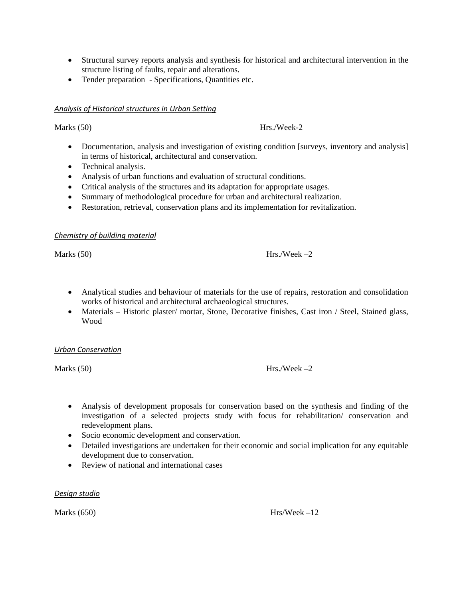- Structural survey reports analysis and synthesis for historical and architectural intervention in the structure listing of faults, repair and alterations.
- Tender preparation Specifications, Quantities etc.

#### *Analysis of Historical structures in Urban Setting*

Marks (50) Hrs./Week-2

- Documentation, analysis and investigation of existing condition [surveys, inventory and analysis] in terms of historical, architectural and conservation.
- Technical analysis.
- Analysis of urban functions and evaluation of structural conditions.
- Critical analysis of the structures and its adaptation for appropriate usages.
- Summary of methodological procedure for urban and architectural realization.
- Restoration, retrieval, conservation plans and its implementation for revitalization.

#### *Chemistry of building material*

#### Marks  $(50)$  Hrs./Week –2

- Analytical studies and behaviour of materials for the use of repairs, restoration and consolidation works of historical and architectural archaeological structures.
- Materials Historic plaster/ mortar, Stone, Decorative finishes, Cast iron / Steel, Stained glass, Wood

#### *Urban Conservation*

Marks  $(50)$  Hrs./Week  $-2$ 

- Analysis of development proposals for conservation based on the synthesis and finding of the investigation of a selected projects study with focus for rehabilitation/ conservation and redevelopment plans.
- Socio economic development and conservation.
- Detailed investigations are undertaken for their economic and social implication for any equitable development due to conservation.
- Review of national and international cases

*Design studio*

Marks  $(650)$  Hrs/Week  $-12$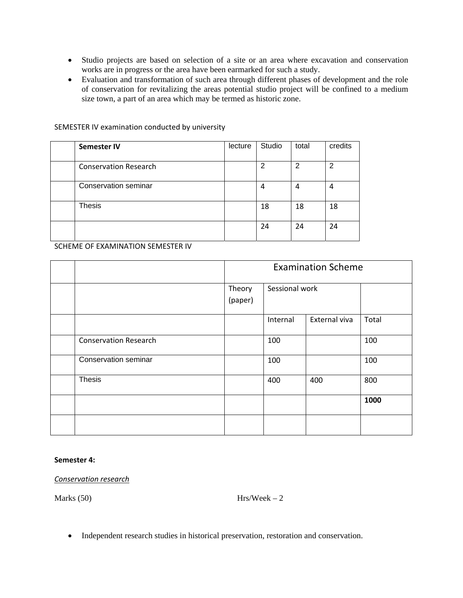- Studio projects are based on selection of a site or an area where excavation and conservation works are in progress or the area have been earmarked for such a study.
- Evaluation and transformation of such area through different phases of development and the role of conservation for revitalizing the areas potential studio project will be confined to a medium size town, a part of an area which may be termed as historic zone.

| Semester IV                  | lecture | Studio         | total | credits |
|------------------------------|---------|----------------|-------|---------|
| <b>Conservation Research</b> |         | $\overline{2}$ | 2     | 2       |
| <b>Conservation seminar</b>  |         | 4              | 4     | 4       |
| <b>Thesis</b>                |         | 18             | 18    | 18      |
|                              |         | 24             | 24    | 24      |

SEMESTER IV examination conducted by university

SCHEME OF EXAMINATION SEMESTER IV

|                              | <b>Examination Scheme</b> |                           |     |       |  |  |
|------------------------------|---------------------------|---------------------------|-----|-------|--|--|
|                              | Theory                    | Sessional work            |     |       |  |  |
|                              | (paper)                   | External viva<br>Internal |     |       |  |  |
|                              |                           |                           |     | Total |  |  |
| <b>Conservation Research</b> |                           | 100                       |     | 100   |  |  |
| Conservation seminar         |                           | 100                       |     | 100   |  |  |
| <b>Thesis</b>                |                           | 400                       | 400 | 800   |  |  |
|                              |                           |                           |     | 1000  |  |  |
|                              |                           |                           |     |       |  |  |

#### **Semester 4:**

#### *Conservation research*

Marks  $(50)$  Hrs/Week – 2

• Independent research studies in historical preservation, restoration and conservation.